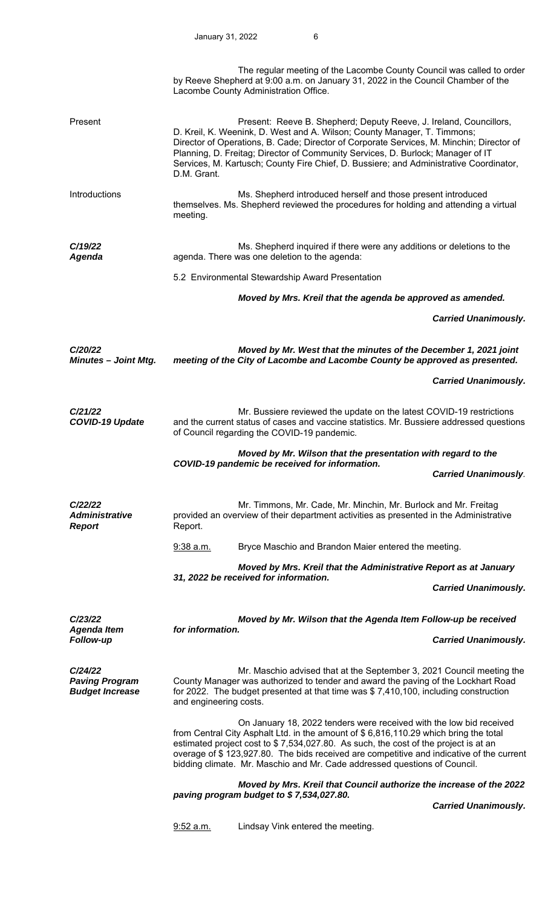|                                                            |                        | The regular meeting of the Lacombe County Council was called to order<br>by Reeve Shepherd at 9:00 a.m. on January 31, 2022 in the Council Chamber of the<br>Lacombe County Administration Office.                                                                                                                                                                                                                            |                             |
|------------------------------------------------------------|------------------------|-------------------------------------------------------------------------------------------------------------------------------------------------------------------------------------------------------------------------------------------------------------------------------------------------------------------------------------------------------------------------------------------------------------------------------|-----------------------------|
| Present                                                    | D.M. Grant.            | Present: Reeve B. Shepherd; Deputy Reeve, J. Ireland, Councillors,<br>D. Kreil, K. Weenink, D. West and A. Wilson; County Manager, T. Timmons;<br>Director of Operations, B. Cade; Director of Corporate Services, M. Minchin; Director of<br>Planning, D. Freitag; Director of Community Services, D. Burlock; Manager of IT<br>Services, M. Kartusch; County Fire Chief, D. Bussiere; and Administrative Coordinator,       |                             |
| Introductions                                              | meeting.               | Ms. Shepherd introduced herself and those present introduced<br>themselves. Ms. Shepherd reviewed the procedures for holding and attending a virtual                                                                                                                                                                                                                                                                          |                             |
| C/19/22<br>Agenda                                          |                        | Ms. Shepherd inquired if there were any additions or deletions to the<br>agenda. There was one deletion to the agenda:                                                                                                                                                                                                                                                                                                        |                             |
|                                                            |                        | 5.2 Environmental Stewardship Award Presentation                                                                                                                                                                                                                                                                                                                                                                              |                             |
|                                                            |                        | Moved by Mrs. Kreil that the agenda be approved as amended.                                                                                                                                                                                                                                                                                                                                                                   |                             |
|                                                            |                        |                                                                                                                                                                                                                                                                                                                                                                                                                               | <b>Carried Unanimously.</b> |
| C/20/22<br><b>Minutes - Joint Mtg.</b>                     |                        | Moved by Mr. West that the minutes of the December 1, 2021 joint<br>meeting of the City of Lacombe and Lacombe County be approved as presented.                                                                                                                                                                                                                                                                               |                             |
|                                                            |                        |                                                                                                                                                                                                                                                                                                                                                                                                                               | <b>Carried Unanimously.</b> |
| C/21/22<br><b>COVID-19 Update</b>                          |                        | Mr. Bussiere reviewed the update on the latest COVID-19 restrictions<br>and the current status of cases and vaccine statistics. Mr. Bussiere addressed questions<br>of Council regarding the COVID-19 pandemic.                                                                                                                                                                                                               |                             |
|                                                            |                        |                                                                                                                                                                                                                                                                                                                                                                                                                               |                             |
|                                                            |                        | Moved by Mr. Wilson that the presentation with regard to the                                                                                                                                                                                                                                                                                                                                                                  |                             |
|                                                            |                        | COVID-19 pandemic be received for information.                                                                                                                                                                                                                                                                                                                                                                                | <b>Carried Unanimously.</b> |
| C/22/22<br><b>Administrative</b><br><b>Report</b>          | Report.                | Mr. Timmons, Mr. Cade, Mr. Minchin, Mr. Burlock and Mr. Freitag<br>provided an overview of their department activities as presented in the Administrative                                                                                                                                                                                                                                                                     |                             |
|                                                            | $9:38$ a.m.            | Bryce Maschio and Brandon Maier entered the meeting.                                                                                                                                                                                                                                                                                                                                                                          |                             |
|                                                            |                        | Moved by Mrs. Kreil that the Administrative Report as at January                                                                                                                                                                                                                                                                                                                                                              |                             |
|                                                            |                        | 31, 2022 be received for information.                                                                                                                                                                                                                                                                                                                                                                                         | <b>Carried Unanimously.</b> |
|                                                            |                        |                                                                                                                                                                                                                                                                                                                                                                                                                               |                             |
| C/23/22<br><b>Agenda Item</b><br>Follow-up                 | for information.       | Moved by Mr. Wilson that the Agenda Item Follow-up be received                                                                                                                                                                                                                                                                                                                                                                | <b>Carried Unanimously.</b> |
| C/24/22<br><b>Paving Program</b><br><b>Budget Increase</b> | and engineering costs. | Mr. Maschio advised that at the September 3, 2021 Council meeting the<br>County Manager was authorized to tender and award the paving of the Lockhart Road<br>for 2022. The budget presented at that time was \$7,410,100, including construction                                                                                                                                                                             |                             |
|                                                            |                        | On January 18, 2022 tenders were received with the low bid received<br>from Central City Asphalt Ltd. in the amount of \$6,816,110.29 which bring the total<br>estimated project cost to $$7,534,027.80$ . As such, the cost of the project is at an<br>overage of \$123,927.80. The bids received are competitive and indicative of the current<br>bidding climate. Mr. Maschio and Mr. Cade addressed questions of Council. |                             |
|                                                            |                        | Moved by Mrs. Kreil that Council authorize the increase of the 2022<br>paving program budget to \$7,534,027.80.                                                                                                                                                                                                                                                                                                               |                             |
|                                                            | $9:52$ a.m.            | Lindsay Vink entered the meeting.                                                                                                                                                                                                                                                                                                                                                                                             | <b>Carried Unanimously.</b> |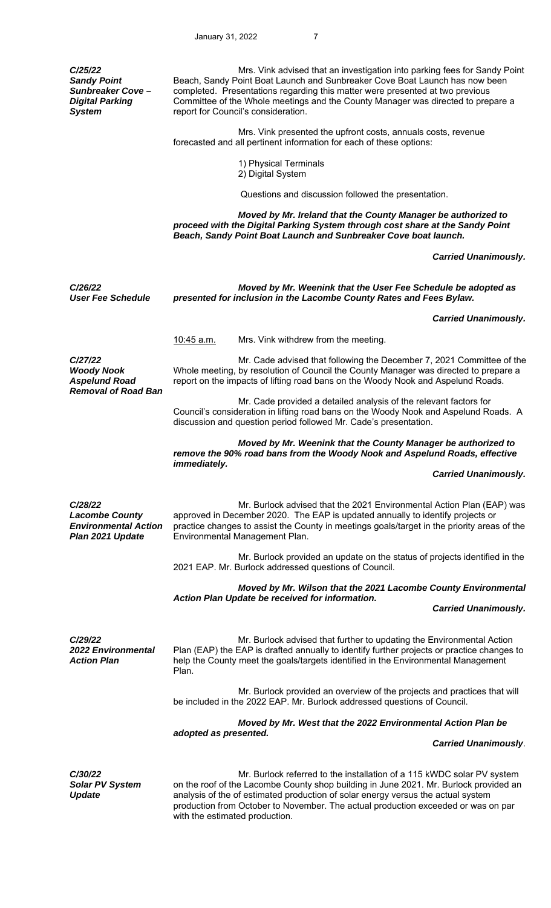| C/25/22<br><b>Sandy Point</b><br><b>Sunbreaker Cove -</b><br><b>Digital Parking</b><br><b>System</b> | Mrs. Vink advised that an investigation into parking fees for Sandy Point<br>Beach, Sandy Point Boat Launch and Sunbreaker Cove Boat Launch has now been<br>completed. Presentations regarding this matter were presented at two previous<br>Committee of the Whole meetings and the County Manager was directed to prepare a<br>report for Council's consideration.       |                             |  |  |
|------------------------------------------------------------------------------------------------------|----------------------------------------------------------------------------------------------------------------------------------------------------------------------------------------------------------------------------------------------------------------------------------------------------------------------------------------------------------------------------|-----------------------------|--|--|
|                                                                                                      | Mrs. Vink presented the upfront costs, annuals costs, revenue<br>forecasted and all pertinent information for each of these options:                                                                                                                                                                                                                                       |                             |  |  |
|                                                                                                      | 1) Physical Terminals<br>2) Digital System                                                                                                                                                                                                                                                                                                                                 |                             |  |  |
|                                                                                                      | Questions and discussion followed the presentation.                                                                                                                                                                                                                                                                                                                        |                             |  |  |
|                                                                                                      | Moved by Mr. Ireland that the County Manager be authorized to<br>proceed with the Digital Parking System through cost share at the Sandy Point<br>Beach, Sandy Point Boat Launch and Sunbreaker Cove boat launch.                                                                                                                                                          |                             |  |  |
|                                                                                                      |                                                                                                                                                                                                                                                                                                                                                                            | <b>Carried Unanimously.</b> |  |  |
| C/26/22<br><b>User Fee Schedule</b>                                                                  | Moved by Mr. Weenink that the User Fee Schedule be adopted as<br>presented for inclusion in the Lacombe County Rates and Fees Bylaw.                                                                                                                                                                                                                                       |                             |  |  |
|                                                                                                      |                                                                                                                                                                                                                                                                                                                                                                            | <b>Carried Unanimously.</b> |  |  |
|                                                                                                      | <u>10:45 a.m.</u><br>Mrs. Vink withdrew from the meeting.                                                                                                                                                                                                                                                                                                                  |                             |  |  |
| C/27/22<br><b>Woody Nook</b><br><b>Aspelund Road</b><br><b>Removal of Road Ban</b>                   | Mr. Cade advised that following the December 7, 2021 Committee of the<br>Whole meeting, by resolution of Council the County Manager was directed to prepare a<br>report on the impacts of lifting road bans on the Woody Nook and Aspelund Roads.                                                                                                                          |                             |  |  |
|                                                                                                      | Mr. Cade provided a detailed analysis of the relevant factors for<br>Council's consideration in lifting road bans on the Woody Nook and Aspelund Roads. A<br>discussion and question period followed Mr. Cade's presentation.                                                                                                                                              |                             |  |  |
|                                                                                                      | Moved by Mr. Weenink that the County Manager be authorized to<br>remove the 90% road bans from the Woody Nook and Aspelund Roads, effective<br><i>immediately.</i>                                                                                                                                                                                                         |                             |  |  |
|                                                                                                      |                                                                                                                                                                                                                                                                                                                                                                            | <b>Carried Unanimously.</b> |  |  |
| C/28/22<br><b>Lacombe County</b><br><b>Environmental Action</b><br>Plan 2021 Update                  | Mr. Burlock advised that the 2021 Environmental Action Plan (EAP) was<br>approved in December 2020. The EAP is updated annually to identify projects or<br>practice changes to assist the County in meetings goals/target in the priority areas of the<br>Environmental Management Plan.                                                                                   |                             |  |  |
|                                                                                                      | Mr. Burlock provided an update on the status of projects identified in the<br>2021 EAP. Mr. Burlock addressed questions of Council.                                                                                                                                                                                                                                        |                             |  |  |
|                                                                                                      | Moved by Mr. Wilson that the 2021 Lacombe County Environmental                                                                                                                                                                                                                                                                                                             |                             |  |  |
|                                                                                                      | Action Plan Update be received for information.                                                                                                                                                                                                                                                                                                                            | <b>Carried Unanimously.</b> |  |  |
| C/29/22<br><b>2022 Environmental</b><br><b>Action Plan</b>                                           | Mr. Burlock advised that further to updating the Environmental Action<br>Plan (EAP) the EAP is drafted annually to identify further projects or practice changes to<br>help the County meet the goals/targets identified in the Environmental Management<br>Plan.                                                                                                          |                             |  |  |
|                                                                                                      | Mr. Burlock provided an overview of the projects and practices that will<br>be included in the 2022 EAP. Mr. Burlock addressed questions of Council.                                                                                                                                                                                                                       |                             |  |  |
|                                                                                                      | Moved by Mr. West that the 2022 Environmental Action Plan be<br>adopted as presented.                                                                                                                                                                                                                                                                                      |                             |  |  |
|                                                                                                      |                                                                                                                                                                                                                                                                                                                                                                            | <b>Carried Unanimously.</b> |  |  |
| C/30/22<br><b>Solar PV System</b><br><b>Update</b>                                                   | Mr. Burlock referred to the installation of a 115 kWDC solar PV system<br>on the roof of the Lacombe County shop building in June 2021. Mr. Burlock provided an<br>analysis of the of estimated production of solar energy versus the actual system<br>production from October to November. The actual production exceeded or was on par<br>with the estimated production. |                             |  |  |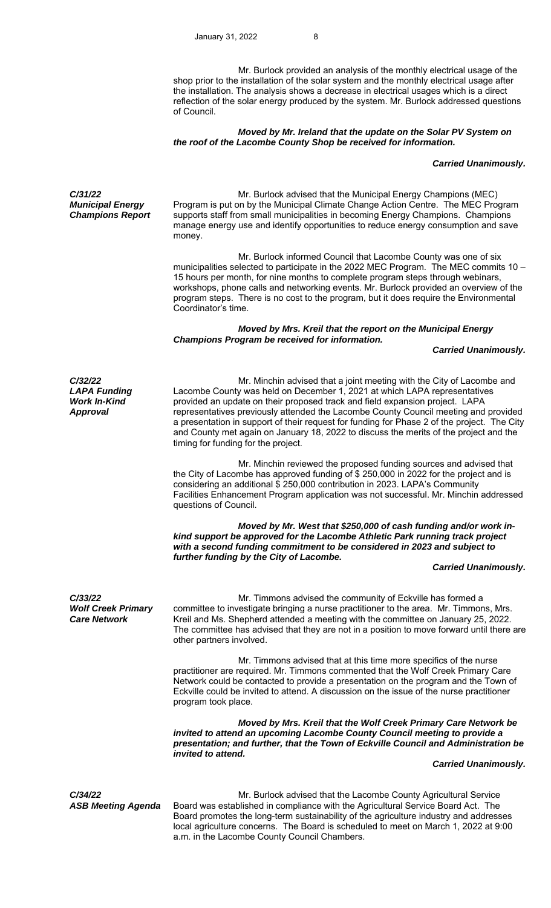Mr. Burlock provided an analysis of the monthly electrical usage of the shop prior to the installation of the solar system and the monthly electrical usage after the installation. The analysis shows a decrease in electrical usages which is a direct reflection of the solar energy produced by the system. Mr. Burlock addressed questions of Council.

### *Moved by Mr. Ireland that the update on the Solar PV System on the roof of the Lacombe County Shop be received for information.*

### *Carried Unanimously.*

*C/31/22 Municipal Energy Champions Report* 

*Mr. Burlock advised that the Municipal Energy Champions (MEC)* Program is put on by the Municipal Climate Change Action Centre. The MEC Program supports staff from small municipalities in becoming Energy Champions. Champions manage energy use and identify opportunities to reduce energy consumption and save money.

 Mr. Burlock informed Council that Lacombe County was one of six municipalities selected to participate in the 2022 MEC Program. The MEC commits 10 – 15 hours per month, for nine months to complete program steps through webinars, workshops, phone calls and networking events. Mr. Burlock provided an overview of the program steps. There is no cost to the program, but it does require the Environmental Coordinator's time.

## *Moved by Mrs. Kreil that the report on the Municipal Energy Champions Program be received for information.*

 *Carried Unanimously.* 

*C/32/22 LAPA Funding Work In-Kind Approval* 

 Mr. Minchin advised that a joint meeting with the City of Lacombe and Lacombe County was held on December 1, 2021 at which LAPA representatives provided an update on their proposed track and field expansion project. LAPA representatives previously attended the Lacombe County Council meeting and provided a presentation in support of their request for funding for Phase 2 of the project. The City and County met again on January 18, 2022 to discuss the merits of the project and the timing for funding for the project.

 Mr. Minchin reviewed the proposed funding sources and advised that the City of Lacombe has approved funding of \$ 250,000 in 2022 for the project and is considering an additional \$ 250,000 contribution in 2023. LAPA's Community Facilities Enhancement Program application was not successful. Mr. Minchin addressed questions of Council.

 *Moved by Mr. West that \$250,000 of cash funding and/or work inkind support be approved for the Lacombe Athletic Park running track project with a second funding commitment to be considered in 2023 and subject to further funding by the City of Lacombe.* 

#### *Carried Unanimously.*

*C/33/22 Wolf Creek Primary Care Network* 

 Mr. Timmons advised the community of Eckville has formed a committee to investigate bringing a nurse practitioner to the area. Mr. Timmons, Mrs. Kreil and Ms. Shepherd attended a meeting with the committee on January 25, 2022. The committee has advised that they are not in a position to move forward until there are other partners involved.

 Mr. Timmons advised that at this time more specifics of the nurse practitioner are required. Mr. Timmons commented that the Wolf Creek Primary Care Network could be contacted to provide a presentation on the program and the Town of Eckville could be invited to attend. A discussion on the issue of the nurse practitioner program took place.

 *Moved by Mrs. Kreil that the Wolf Creek Primary Care Network be invited to attend an upcoming Lacombe County Council meeting to provide a presentation; and further, that the Town of Eckville Council and Administration be invited to attend.* 

 *Carried Unanimously.* 

*C/34/22 ASB Meeting Agenda* 

 Mr. Burlock advised that the Lacombe County Agricultural Service Board was established in compliance with the Agricultural Service Board Act. The Board promotes the long-term sustainability of the agriculture industry and addresses local agriculture concerns. The Board is scheduled to meet on March 1, 2022 at 9:00 a.m. in the Lacombe County Council Chambers.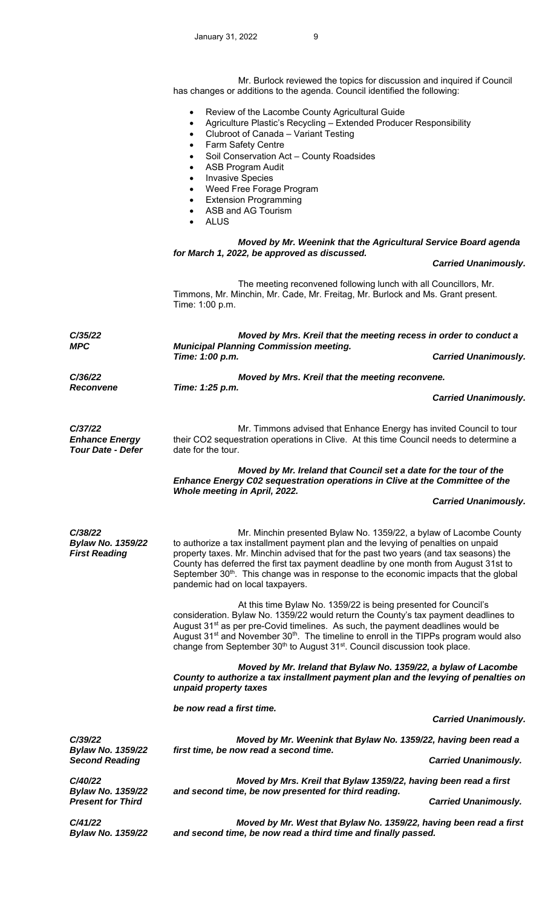Mr. Burlock reviewed the topics for discussion and inquired if Council has changes or additions to the agenda. Council identified the following:

- Review of the Lacombe County Agricultural Guide
- Agriculture Plastic's Recycling Extended Producer Responsibility
- Clubroot of Canada Variant Testing
- Farm Safety Centre
- Soil Conservation Act County Roadsides
- ASB Program Audit
- Invasive Species
- Weed Free Forage Program
- Extension Programming
- ASB and AG Tourism
- ALUS

# *Moved by Mr. Weenink that the Agricultural Service Board agenda for March 1, 2022, be approved as discussed.*

 *Carried Unanimously.* 

 The meeting reconvened following lunch with all Councillors, Mr. Timmons, Mr. Minchin, Mr. Cade, Mr. Freitag, Mr. Burlock and Ms. Grant present. Time: 1:00 p.m.

*C/35/22 MPC Moved by Mrs. Kreil that the meeting recess in order to conduct a Municipal Planning Commission meeting. Time: 1:00 p.m. Carried Unanimously. C/36/22 Moved by Mrs. Kreil that the meeting reconvene. Reconvene Time: 1:25 p.m. Carried Unanimously. C/37/22 Enhance Energy Tour Date - Defer* Mr. Timmons advised that Enhance Energy has invited Council to tour their CO2 sequestration operations in Clive. At this time Council needs to determine a date for the tour. *Moved by Mr. Ireland that Council set a date for the tour of the Enhance Energy C02 sequestration operations in Clive at the Committee of the Whole meeting in April, 2022. Carried Unanimously. C/38/22 Bylaw No. 1359/22 First Reading* Mr. Minchin presented Bylaw No. 1359/22, a bylaw of Lacombe County to authorize a tax installment payment plan and the levying of penalties on unpaid property taxes. Mr. Minchin advised that for the past two years (and tax seasons) the County has deferred the first tax payment deadline by one month from August 31st to September  $30<sup>th</sup>$ . This change was in response to the economic impacts that the global pandemic had on local taxpayers. At this time Bylaw No. 1359/22 is being presented for Council's consideration. Bylaw No. 1359/22 would return the County's tax payment deadlines to August 31<sup>st</sup> as per pre-Covid timelines. As such, the payment deadlines would be August  $31^{st}$  and November  $30^{th}$ . The timeline to enroll in the TIPPs program would also change from September 30<sup>th</sup> to August 31<sup>st</sup>. Council discussion took place. *Moved by Mr. Ireland that Bylaw No. 1359/22, a bylaw of Lacombe County to authorize a tax installment payment plan and the levying of penalties on unpaid property taxes be now read a first time. Carried Unanimously. C/39/22 Bylaw No. 1359/22 Second Reading Moved by Mr. Weenink that Bylaw No. 1359/22, having been read a first time, be now read a second time. Carried Unanimously. C/40/22 Bylaw No. 1359/22 Moved by Mrs. Kreil that Bylaw 1359/22, having been read a first and second time, be now presented for third reading.*  **Present for Third Carried Unanimously. Carried Unanimously. Carried Unanimously.** *C/41/22 Bylaw No. 1359/22 Moved by Mr. West that Bylaw No. 1359/22, having been read a first and second time, be now read a third time and finally passed.*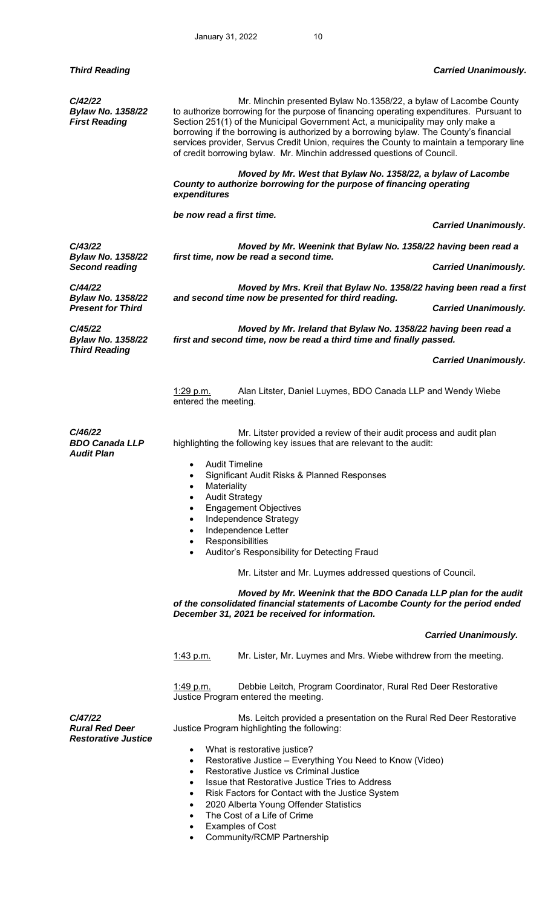*C/42/22 Bylaw No. 1358/22 First Reading* 

*C/43/22* 

*C/44/22* 

*C/45/22* 

*Bylaw No. 1358/22* 

*Bylaw No. 1358/22*

*Bylaw No. 1358/22 Third Reading* 

 Mr. Minchin presented Bylaw No.1358/22, a bylaw of Lacombe County to authorize borrowing for the purpose of financing operating expenditures. Pursuant to Section 251(1) of the Municipal Government Act, a municipality may only make a borrowing if the borrowing is authorized by a borrowing bylaw. The County's financial services provider, Servus Credit Union, requires the County to maintain a temporary line of credit borrowing bylaw. Mr. Minchin addressed questions of Council.

 *Moved by Mr. West that Bylaw No. 1358/22, a bylaw of Lacombe County to authorize borrowing for the purpose of financing operating expenditures* 

 *be now read a first time.* 

 *Carried Unanimously.* 

 *Moved by Mr. Weenink that Bylaw No. 1358/22 having been read a first time, now be read a second time.* 

*Second reading Carried Unanimously.* 

 *Moved by Mrs. Kreil that Bylaw No. 1358/22 having been read a first and second time now be presented for third reading.* 

**Present for Third Carried Unanimously. Carried Unanimously. Carried Unanimously.** 

 *Moved by Mr. Ireland that Bylaw No. 1358/22 having been read a first and second time, now be read a third time and finally passed.* 

 *Carried Unanimously.* 

1:29 p.m. Alan Litster, Daniel Luymes, BDO Canada LLP and Wendy Wiebe entered the meeting.

*C/46/22 BDO Canada LLP Audit Plan* 

 Mr. Litster provided a review of their audit process and audit plan highlighting the following key issues that are relevant to the audit:

Audit Timeline

- Significant Audit Risks & Planned Responses
- Materiality
- Audit Strategy
- Engagement Objectives
- Independence Strategy
- Independence Letter
- **Responsibilities**
- Auditor's Responsibility for Detecting Fraud

Mr. Litster and Mr. Luymes addressed questions of Council.

 *Moved by Mr. Weenink that the BDO Canada LLP plan for the audit of the consolidated financial statements of Lacombe County for the period ended December 31, 2021 be received for information.* 

#### *Carried Unanimously.*

1:43 p.m. Mr. Lister, Mr. Luymes and Mrs. Wiebe withdrew from the meeting.

1:49 p.m. Debbie Leitch, Program Coordinator, Rural Red Deer Restorative Justice Program entered the meeting.

 Ms. Leitch provided a presentation on the Rural Red Deer Restorative Justice Program highlighting the following:

*C/47/22 Rural Red Deer Restorative Justice* 

- What is restorative justice?
- Restorative Justice Everything You Need to Know (Video)
- Restorative Justice vs Criminal Justice
- Issue that Restorative Justice Tries to Address
- Risk Factors for Contact with the Justice System
- 2020 Alberta Young Offender Statistics
- The Cost of a Life of Crime
- Examples of Cost
- Community/RCMP Partnership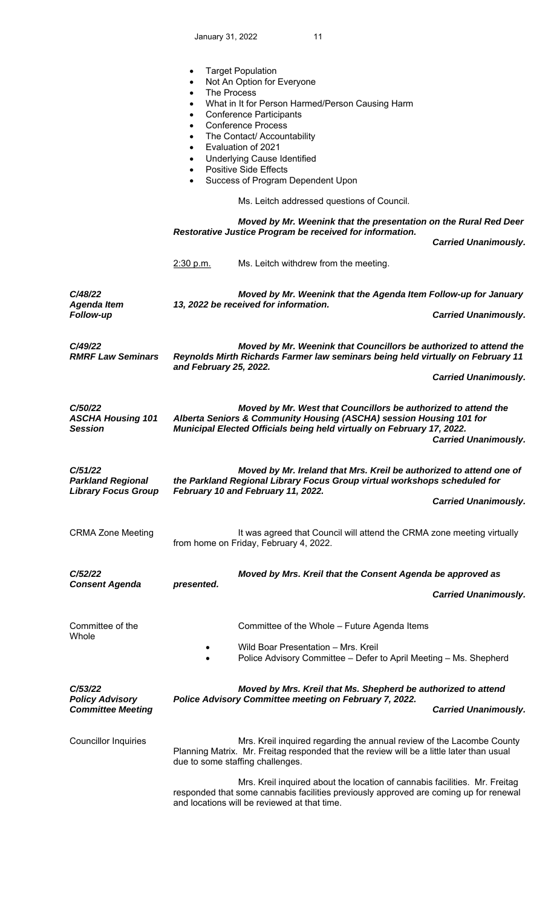January 31, 2022 11

|                                                                   | $\bullet$<br>$\bullet$<br>The Process<br>$\bullet$<br>$\bullet$<br>$\bullet$<br>$\bullet$<br>$\bullet$<br>$\bullet$<br>$\bullet$<br>$\bullet$<br>$\bullet$                                                                                                                    | <b>Target Population</b><br>Not An Option for Everyone<br>What in It for Person Harmed/Person Causing Harm<br><b>Conference Participants</b><br><b>Conference Process</b><br>The Contact/ Accountability<br>Evaluation of 2021<br><b>Underlying Cause Identified</b><br><b>Positive Side Effects</b><br>Success of Program Dependent Upon<br>Ms. Leitch addressed questions of Council.<br>Moved by Mr. Weenink that the presentation on the Rural Red Deer<br>Restorative Justice Program be received for information. | <b>Carried Unanimously.</b> |
|-------------------------------------------------------------------|-------------------------------------------------------------------------------------------------------------------------------------------------------------------------------------------------------------------------------------------------------------------------------|-------------------------------------------------------------------------------------------------------------------------------------------------------------------------------------------------------------------------------------------------------------------------------------------------------------------------------------------------------------------------------------------------------------------------------------------------------------------------------------------------------------------------|-----------------------------|
|                                                                   | 2:30 p.m.                                                                                                                                                                                                                                                                     | Ms. Leitch withdrew from the meeting.                                                                                                                                                                                                                                                                                                                                                                                                                                                                                   |                             |
| C/48/22<br><b>Agenda Item</b><br>Follow-up                        |                                                                                                                                                                                                                                                                               | Moved by Mr. Weenink that the Agenda Item Follow-up for January<br>13, 2022 be received for information.                                                                                                                                                                                                                                                                                                                                                                                                                | <b>Carried Unanimously.</b> |
| C/49/22<br><b>RMRF Law Seminars</b>                               | Moved by Mr. Weenink that Councillors be authorized to attend the<br>Reynolds Mirth Richards Farmer law seminars being held virtually on February 11<br>and February 25, 2022.                                                                                                |                                                                                                                                                                                                                                                                                                                                                                                                                                                                                                                         |                             |
| C/50/22<br><b>ASCHA Housing 101</b><br><b>Session</b>             | <b>Carried Unanimously.</b><br>Moved by Mr. West that Councillors be authorized to attend the<br>Alberta Seniors & Community Housing (ASCHA) session Housing 101 for<br>Municipal Elected Officials being held virtually on February 17, 2022.<br><b>Carried Unanimously.</b> |                                                                                                                                                                                                                                                                                                                                                                                                                                                                                                                         |                             |
| C/51/22<br><b>Parkland Regional</b><br><b>Library Focus Group</b> | Moved by Mr. Ireland that Mrs. Kreil be authorized to attend one of<br>the Parkland Regional Library Focus Group virtual workshops scheduled for<br>February 10 and February 11, 2022.<br><b>Carried Unanimously.</b>                                                         |                                                                                                                                                                                                                                                                                                                                                                                                                                                                                                                         |                             |
| <b>CRMA Zone Meeting</b>                                          |                                                                                                                                                                                                                                                                               | It was agreed that Council will attend the CRMA zone meeting virtually<br>from home on Friday, February 4, 2022.                                                                                                                                                                                                                                                                                                                                                                                                        |                             |
| C/52/22<br><b>Consent Agenda</b>                                  | presented.                                                                                                                                                                                                                                                                    | Moved by Mrs. Kreil that the Consent Agenda be approved as                                                                                                                                                                                                                                                                                                                                                                                                                                                              | <b>Carried Unanimously.</b> |
| Committee of the<br>Whole                                         |                                                                                                                                                                                                                                                                               | Committee of the Whole - Future Agenda Items                                                                                                                                                                                                                                                                                                                                                                                                                                                                            |                             |
|                                                                   | Wild Boar Presentation - Mrs. Kreil<br>Police Advisory Committee - Defer to April Meeting - Ms. Shepherd                                                                                                                                                                      |                                                                                                                                                                                                                                                                                                                                                                                                                                                                                                                         |                             |
| C/53/22<br><b>Policy Advisory</b><br><b>Committee Meeting</b>     |                                                                                                                                                                                                                                                                               | Moved by Mrs. Kreil that Ms. Shepherd be authorized to attend<br>Police Advisory Committee meeting on February 7, 2022.                                                                                                                                                                                                                                                                                                                                                                                                 | <b>Carried Unanimously.</b> |
| <b>Councillor Inquiries</b>                                       |                                                                                                                                                                                                                                                                               | Mrs. Kreil inquired regarding the annual review of the Lacombe County<br>Planning Matrix. Mr. Freitag responded that the review will be a little later than usual<br>due to some staffing challenges.                                                                                                                                                                                                                                                                                                                   |                             |
|                                                                   |                                                                                                                                                                                                                                                                               | Mrs. Kreil inquired about the location of cannabis facilities. Mr. Freitag<br>responded that some cannabis facilities previously approved are coming up for renewal<br>and locations will be reviewed at that time.                                                                                                                                                                                                                                                                                                     |                             |